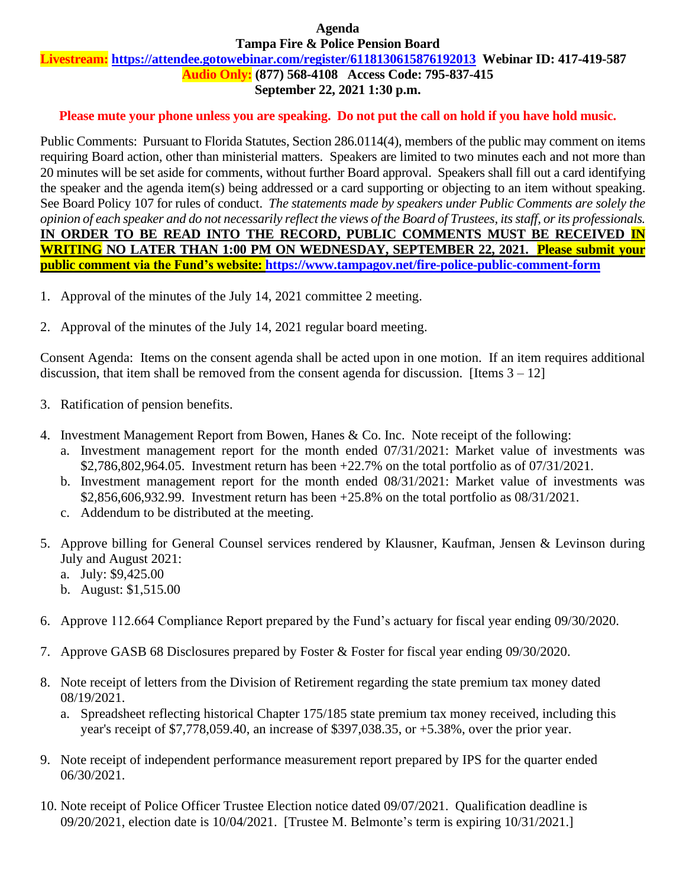#### **Agenda Tampa Fire & Police Pension Board**

# **Livestream: <https://attendee.gotowebinar.com/register/6118130615876192013>Webinar ID: 417-419-587**

**Audio Only: (877) 568-4108 Access Code: 795-837-415**

# **September 22, 2021 1:30 p.m.**

## **Please mute your phone unless you are speaking. Do not put the call on hold if you have hold music.**

Public Comments: Pursuant to Florida Statutes, Section 286.0114(4), members of the public may comment on items requiring Board action, other than ministerial matters. Speakers are limited to two minutes each and not more than 20 minutes will be set aside for comments, without further Board approval. Speakers shall fill out a card identifying the speaker and the agenda item(s) being addressed or a card supporting or objecting to an item without speaking. See Board Policy 107 for rules of conduct. *The statements made by speakers under Public Comments are solely the opinion of each speaker and do not necessarily reflect the views of the Board of Trustees, its staff, or its professionals.* **IN ORDER TO BE READ INTO THE RECORD, PUBLIC COMMENTS MUST BE RECEIVED IN WRITING NO LATER THAN 1:00 PM ON WEDNESDAY, SEPTEMBER 22, 2021. Please submit your public comment via the Fund's website:<https://www.tampagov.net/fire-police-public-comment-form>**

- 1. Approval of the minutes of the July 14, 2021 committee 2 meeting.
- 2. Approval of the minutes of the July 14, 2021 regular board meeting.

Consent Agenda: Items on the consent agenda shall be acted upon in one motion. If an item requires additional discussion, that item shall be removed from the consent agenda for discussion. [Items  $3 - 12$ ]

- 3. Ratification of pension benefits.
- 4. Investment Management Report from Bowen, Hanes & Co. Inc. Note receipt of the following:
	- a. Investment management report for the month ended 07/31/2021: Market value of investments was \$2,786,802,964.05. Investment return has been +22.7% on the total portfolio as of 07/31/2021.
	- b. Investment management report for the month ended 08/31/2021: Market value of investments was \$2,856,606,932.99. Investment return has been +25.8% on the total portfolio as 08/31/2021.
	- c. Addendum to be distributed at the meeting.
- 5. Approve billing for General Counsel services rendered by Klausner, Kaufman, Jensen & Levinson during July and August 2021:
	- a. July: \$9,425.00
	- b. August: \$1,515.00
- 6. Approve 112.664 Compliance Report prepared by the Fund's actuary for fiscal year ending 09/30/2020.
- 7. Approve GASB 68 Disclosures prepared by Foster & Foster for fiscal year ending 09/30/2020.
- 8. Note receipt of letters from the Division of Retirement regarding the state premium tax money dated 08/19/2021.
	- a. Spreadsheet reflecting historical Chapter 175/185 state premium tax money received, including this year's receipt of \$7,778,059.40, an increase of \$397,038.35, or +5.38%, over the prior year.
- 9. Note receipt of independent performance measurement report prepared by IPS for the quarter ended 06/30/2021.
- 10. Note receipt of Police Officer Trustee Election notice dated 09/07/2021. Qualification deadline is 09/20/2021, election date is 10/04/2021. [Trustee M. Belmonte's term is expiring 10/31/2021.]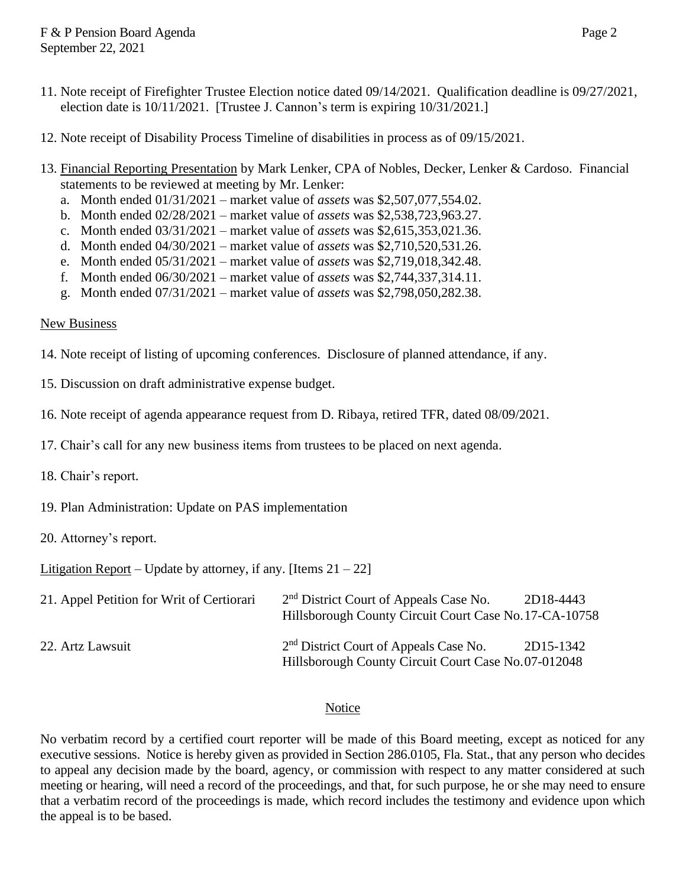- 11. Note receipt of Firefighter Trustee Election notice dated 09/14/2021. Qualification deadline is 09/27/2021, election date is 10/11/2021. [Trustee J. Cannon's term is expiring 10/31/2021.]
- 12. Note receipt of Disability Process Timeline of disabilities in process as of 09/15/2021.
- 13. Financial Reporting Presentation by Mark Lenker, CPA of Nobles, Decker, Lenker & Cardoso. Financial statements to be reviewed at meeting by Mr. Lenker:
	- a. Month ended 01/31/2021 market value of *assets* was \$2,507,077,554.02.
	- b. Month ended 02/28/2021 market value of *assets* was \$2,538,723,963.27.
	- c. Month ended 03/31/2021 market value of *assets* was \$2,615,353,021.36.
	- d. Month ended 04/30/2021 market value of *assets* was \$2,710,520,531.26.
	- e. Month ended 05/31/2021 market value of *assets* was \$2,719,018,342.48.
	- f. Month ended 06/30/2021 market value of *assets* was \$2,744,337,314.11.
	- g. Month ended 07/31/2021 market value of *assets* was \$2,798,050,282.38.

### New Business

- 14. Note receipt of listing of upcoming conferences. Disclosure of planned attendance, if any.
- 15. Discussion on draft administrative expense budget.
- 16. Note receipt of agenda appearance request from D. Ribaya, retired TFR, dated 08/09/2021.
- 17. Chair's call for any new business items from trustees to be placed on next agenda.
- 18. Chair's report.
- 19. Plan Administration: Update on PAS implementation
- 20. Attorney's report.

Litigation Report – Update by attorney, if any. [Items  $21 - 22$ ]

| 21. Appel Petition for Writ of Certiorari | 2 <sup>nd</sup> District Court of Appeals Case No.<br>Hillsborough County Circuit Court Case No. 17-CA-10758 | 2D18-4443 |
|-------------------------------------------|--------------------------------------------------------------------------------------------------------------|-----------|
| 22. Artz Lawsuit                          | 2 <sup>nd</sup> District Court of Appeals Case No.<br>Hillsborough County Circuit Court Case No.07-012048    | 2D15-1342 |

### **Notice**

No verbatim record by a certified court reporter will be made of this Board meeting, except as noticed for any executive sessions. Notice is hereby given as provided in Section 286.0105, Fla. Stat., that any person who decides to appeal any decision made by the board, agency, or commission with respect to any matter considered at such meeting or hearing, will need a record of the proceedings, and that, for such purpose, he or she may need to ensure that a verbatim record of the proceedings is made, which record includes the testimony and evidence upon which the appeal is to be based.